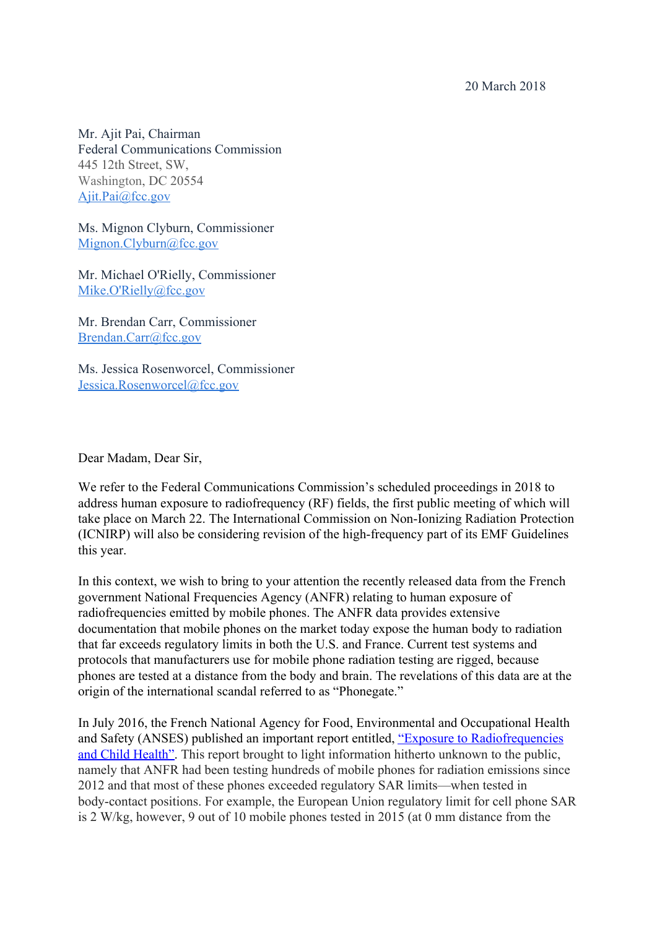20 March 2018

Mr. Ajit Pai, Chairman Federal Communications Commission 445 12th Street, SW, Washington, DC 20554 [Ajit.Pai@fcc.gov](mailto:Ajit.Pai@fcc.gov)

Ms. Mignon Clyburn, Commissioner [Mignon.Clyburn@fcc.gov](mailto:Mignon.Clyburn@fcc.gov)

Mr. Michael O'Rielly, Commissioner [Mike.O'Rielly@fcc.gov](mailto:mike.o)

Mr. Brendan Carr, Commissioner [Brendan.Carr@fcc.gov](mailto:Brendan.Carr@fcc.gov)

Ms. Jessica Rosenworcel, Commissioner [Jessica.Rosenworcel@fcc.gov](mailto:Jessica.Rosenworcel@fcc.gov)

Dear Madam, Dear Sir,

We refer to the Federal Communications Commission's scheduled proceedings in 2018 to address human exposure to radiofrequency (RF) fields, the first public meeting of which will take place on March 22. The International Commission on Non-Ionizing Radiation Protection (ICNIRP) will also be considering revision of the high-frequency part of its EMF Guidelines this year.

In this context, we wish to bring to your attention the recently released data from the French government National Frequencies Agency (ANFR) relating to human exposure of radiofrequencies emitted by mobile phones. The ANFR data provides extensive documentation that mobile phones on the market today expose the human body to radiation that far exceeds regulatory limits in both the U.S. and France. Current test systems and protocols that manufacturers use for mobile phone radiation testing are rigged, because phones are tested at a distance from the body and brain. The revelations of this data are at the origin of the international scandal referred to as "Phonegate."

In July 2016, the French National Agency for Food, Environmental and Occupational Health and Safety (ANSES) published an important report entitled, ["Exposure to Radiofrequencies](https://www.anses.fr/en/system/files/AP2012SA0091Ra.pdf) [and Child Health"](https://www.anses.fr/en/system/files/AP2012SA0091Ra.pdf). This report brought to light information hitherto unknown to the public, namely that ANFR had been testing hundreds of mobile phones for radiation emissions since 2012 and that most of these phones exceeded regulatory SAR limits—when tested in body-contact positions. For example, the European Union regulatory limit for cell phone SAR is 2 W/kg, however, 9 out of 10 mobile phones tested in 2015 (at 0 mm distance from the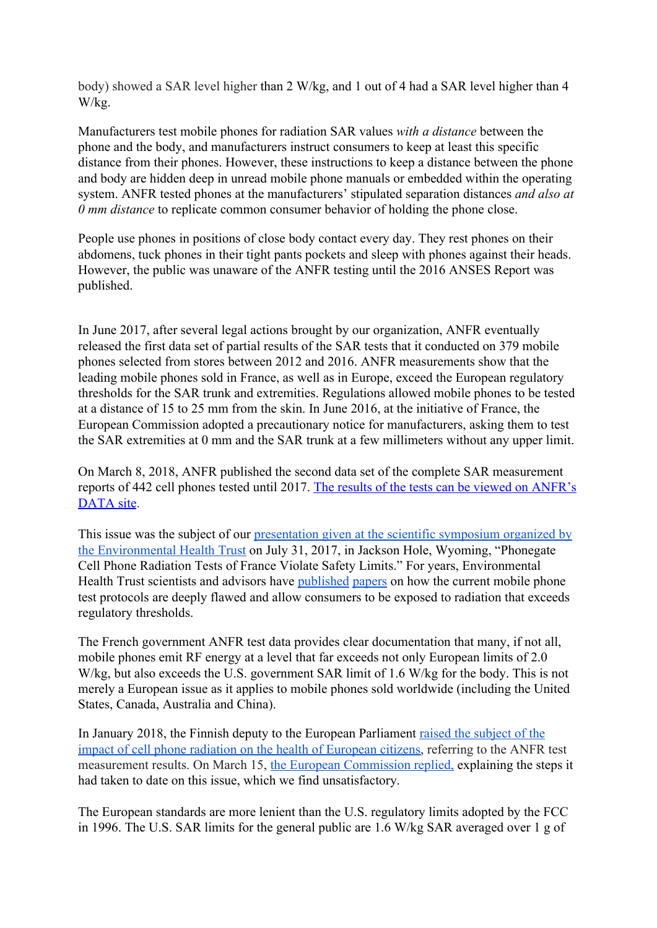body) showed a SAR level higher than 2 W/kg, and 1 out of 4 had a SAR level higher than 4 W/kg.

Manufacturers test mobile phones for radiation SAR values *with a distance* between the phone and the body, and manufacturers instruct consumers to keep at least this specific distance from their phones. However, these instructions to keep a distance between the phone and body are hidden deep in unread mobile phone manuals or embedded within the operating system. ANFR tested phones at the manufacturers' stipulated separation distances *and also at 0 mm distance* to replicate common consumer behavior of holding the phone close.

People use phones in positions of close body contact every day. They rest phones on their abdomens, tuck phones in their tight pants pockets and sleep with phones against their heads. However, the public was unaware of the ANFR testing until the 2016 ANSES Report was published.

In June 2017, after several legal actions brought by our organization, ANFR eventually released the first data set of partial results of the SAR tests that it conducted on 379 mobile phones selected from stores between 2012 and 2016. ANFR measurements show that the leading mobile phones sold in France, as well as in Europe, exceed the European regulatory thresholds for the SAR trunk and extremities. Regulations allowed mobile phones to be tested at a distance of 15 to 25 mm from the skin. In June 2016, at the initiative of France, the European Commission adopted a precautionary notice for manufacturers, asking them to test the SAR extremities at 0 mm and the SAR trunk at a few millimeters without any upper limit.

On March 8, 2018, ANFR published the second data set of the complete SAR measurement reports of 442 cell phones tested until 2017. [The results of the tests can be viewed on ANFR's](https://data.anfr.fr/explore/dataset/das-telephonie-mobile/table/?disjunctive.marque&disjunctive.modele) [DATA site.](https://data.anfr.fr/explore/dataset/das-telephonie-mobile/table/?disjunctive.marque&disjunctive.modele)

This issue was the subject of our [presentation given at the scientific symposium organized by](https://www.youtube.com/watch?v=hBW9I3yIlw8) [the Environmental Health Trust](https://www.youtube.com/watch?v=hBW9I3yIlw8) on July 31, 2017, in Jackson Hole, Wyoming, "Phonegate Cell Phone Radiation Tests of France Violate Safety Limits." For years, Environmental Health Trust scientists and advisors have [published](http://iopscience.iop.org/article/10.1088/0031-9155/47/23/314/meta) [papers](https://ehtrust.org/wp-content/uploads/Gandhi-et-al.-2011-1.pdf) on how the current mobile phone test protocols are deeply flawed and allow consumers to be exposed to radiation that exceeds regulatory thresholds.

The French government ANFR test data provides clear documentation that many, if not all, mobile phones emit RF energy at a level that far exceeds not only European limits of 2.0 W/kg, but also exceeds the U.S. government SAR limit of 1.6 W/kg for the body. This is not merely a European issue as it applies to mobile phones sold worldwide (including the United States, Canada, Australia and China).

In January 2018, the Finnish deputy to the European Parliament [raised the subject of the](http://www.europarl.europa.eu/sides/getDoc.do?pubRef=-%2F%2FEP%2F%2FTEXT+WQ+E-2018-000081+0+DOC+XML+V0%2F%2FEN) [impact of cell phone radiation on the health of European citizens,](http://www.europarl.europa.eu/sides/getDoc.do?pubRef=-%2F%2FEP%2F%2FTEXT+WQ+E-2018-000081+0+DOC+XML+V0%2F%2FEN) referring to the ANFR test measurement results. On March 15, [the European Commission replied,](http://www.europarl.europa.eu/sides/getAllAnswers.do?reference=E-2018-000081&language=EN) explaining the steps it had taken to date on this issue, which we find unsatisfactory.

The European standards are more lenient than the U.S. regulatory limits adopted by the FCC in 1996. The U.S. SAR limits for the general public are 1.6 W/kg SAR averaged over 1 g of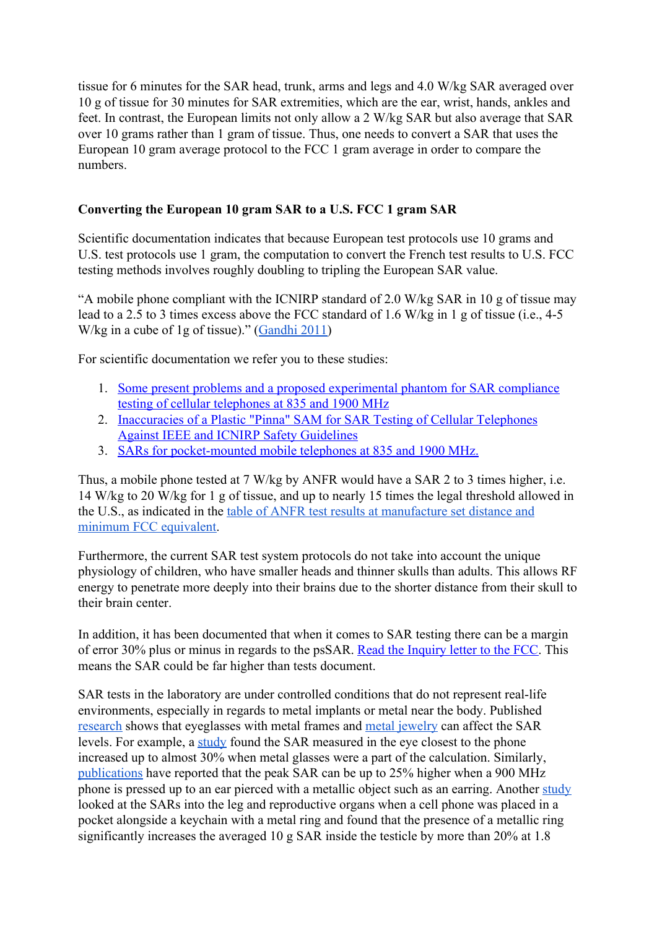tissue for 6 minutes for the SAR head, trunk, arms and legs and 4.0 W/kg SAR averaged over 10 g of tissue for 30 minutes for SAR extremities, which are the ear, wrist, hands, ankles and feet. In contrast, the European limits not only allow a 2 W/kg SAR but also average that SAR over 10 grams rather than 1 gram of tissue. Thus, one needs to convert a SAR that uses the European 10 gram average protocol to the FCC 1 gram average in order to compare the numbers.

## **Converting the European 10 gram SAR to a U.S. FCC 1 gram SAR**

Scientific documentation indicates that because European test protocols use 10 grams and U.S. test protocols use 1 gram, the computation to convert the French test results to U.S. FCC testing methods involves roughly doubling to tripling the European SAR value.

"A mobile phone compliant with the ICNIRP standard of 2.0 W/kg SAR in 10 g of tissue may lead to a 2.5 to 3 times excess above the FCC standard of 1.6 W/kg in 1 g of tissue (i.e., 4-5 W/kg in a cube of 1g of tissue)." ([Gandhi 2011](https://pdfs.semanticscholar.org/9c04/150c2603ba62b498f7794f6aa441e4971458.pdf))

For scientific documentation we refer you to these studies:

- 1. [Some present problems and a proposed experimental phantom for SAR compliance](https://www.ncbi.nlm.nih.gov/pubmed/12043816) [testing of cellular telephones at 835 and 1900 MHz](https://www.ncbi.nlm.nih.gov/pubmed/12043816)
- 2. [Inaccuracies of a Plastic "Pinna" SAM for SAR Testing of Cellular Telephones](http://ieeexplore.ieee.org/document/1318798/?denied) [Against IEEE and ICNIRP Safety Guidelines](http://ieeexplore.ieee.org/document/1318798/?denied)
- 3. [SARs for pocket-mounted mobile telephones at 835 and 1900 MHz.](https://www.ncbi.nlm.nih.gov/pubmed/12502051)

Thus, a mobile phone tested at 7 W/kg by ANFR would have a SAR 2 to 3 times higher, i.e. 14 W/kg to 20 W/kg for 1 g of tissue, and up to nearly 15 times the legal threshold allowed in the U.S., as indicated in the [table of ANFR test results at manufacture set distance and](https://ehtrust.org/france-cell-phone-radiation-tests-make-model-sar-radiation-measurements-379-phones/) [minimum FCC equivalent.](https://ehtrust.org/france-cell-phone-radiation-tests-make-model-sar-radiation-measurements-379-phones/)

Furthermore, the current SAR test system protocols do not take into account the unique physiology of children, who have smaller heads and thinner skulls than adults. This allows RF energy to penetrate more deeply into their brains due to the shorter distance from their skull to their brain center.

In addition, it has been documented that when it comes to SAR testing there can be a margin of error 30% plus or minus in regards to the psSAR. [Read the Inquiry letter to the FCC.](https://ehtrust.org/wp-content/uploads/Swankin-Turner-Letter-to-FCC-w-signature.pdf) This means the SAR could be far higher than tests document.

SAR tests in the laboratory are under controlled conditions that do not represent real-life environments, especially in regards to metal implants or metal near the body. Published [research](http://ieeexplore.ieee.org/document/1364135/?part=1) shows that eyeglasses with metal frames and [metal jewelry](http://iopscience.iop.org/article/10.1088/0031-9155/53/5/002/meta) can affect the SAR levels. For example, a [study](https://www.ncbi.nlm.nih.gov/pubmed/7748204) found the SAR measured in the eye closest to the phone increased up to almost 30% when metal glasses were a part of the calculation. Similarly, [publications](http://onlinelibrary.wiley.com/doi/10.1002/bem.20245/abstract) have reported that the peak SAR can be up to 25% higher when a 900 MHz phone is pressed up to an ear pierced with a metallic object such as an earring. Another [study](http://www.jurnalteknologi.utm.my/index.php/jurnalteknologi/article/view/6289/4149) looked at the SARs into the leg and reproductive organs when a cell phone was placed in a pocket alongside a keychain with a metal ring and found that the presence of a metallic ring significantly increases the averaged 10 g SAR inside the testicle by more than 20% at 1.8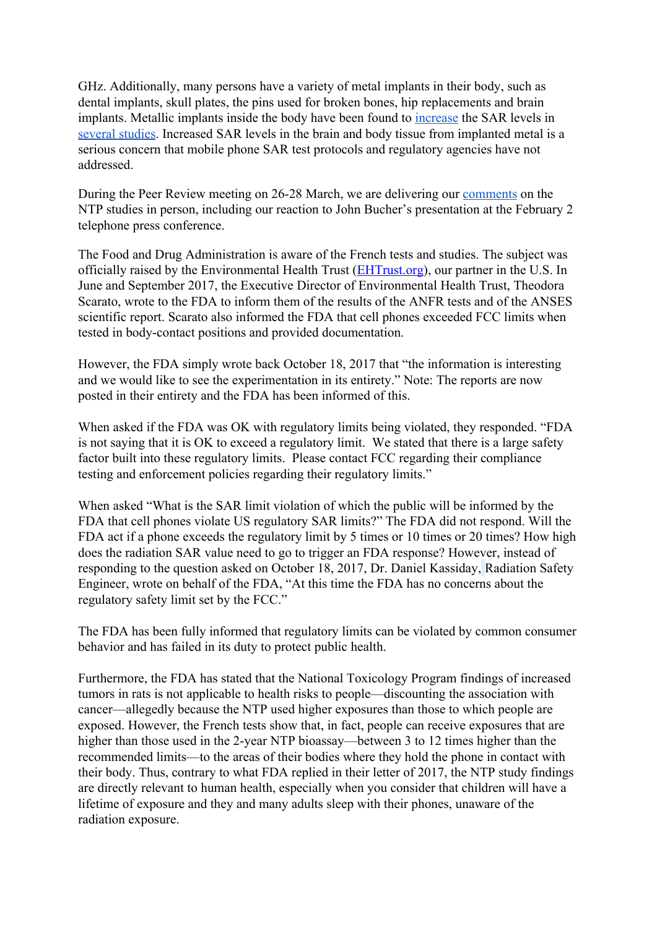GHz. Additionally, many persons have a variety of metal implants in their body, such as dental implants, skull plates, the pins used for broken bones, hip replacements and brain implants. Metallic implants inside the body have been found to [increase](http://onlinelibrary.wiley.com/doi/10.1002/bem.20224/abstract) the SAR levels in [several](http://ieeexplore.ieee.org/document/556774/) [studies](https://www.ncbi.nlm.nih.gov/pubmed/17301450). Increased SAR levels in the brain and body tissue from implanted metal is a serious concern that mobile phone SAR test protocols and regulatory agencies have not addressed.

During the Peer Review meeting on 26-28 March, we are delivering our [comments](https://www.phonegatealert.org/wp-content/uploads/2018/03/Association-Alerte-Phonegate-Peer-review-NTP-12-march-2018-.pdf) on the NTP studies in person, including our reaction to John Bucher's presentation at the February 2 telephone press conference.

The Food and Drug Administration is aware of the French tests and studies. The subject was officially raised by the Environmental Health Trust ([EHTrust.org](http://ehtrust.org/)), our partner in the U.S. In June and September 2017, the Executive Director of Environmental Health Trust, Theodora Scarato, wrote to the FDA to inform them of the results of the ANFR tests and of the ANSES scientific report. Scarato also informed the FDA that cell phones exceeded FCC limits when tested in body-contact positions and provided documentation.

However, the FDA simply wrote back October 18, 2017 that "the information is interesting and we would like to see the experimentation in its entirety." Note: The reports are now posted in their entirety and the FDA has been informed of this.

When asked if the FDA was OK with regulatory limits being violated, they responded. "FDA is not saying that it is OK to exceed a regulatory limit. We stated that there is a large safety factor built into these regulatory limits. Please contact FCC regarding their compliance testing and enforcement policies regarding their regulatory limits."

When asked "What is the SAR limit violation of which the public will be informed by the FDA that cell phones violate US regulatory SAR limits?" The FDA did not respond. Will the FDA act if a phone exceeds the regulatory limit by 5 times or 10 times or 20 times? How high does the radiation SAR value need to go to trigger an FDA response? However, instead of responding to the question asked on October 18, 2017, Dr. Daniel Kassiday, Radiation Safety Engineer, wrote on behalf of the FDA, "At this time the FDA has no concerns about the regulatory safety limit set by the FCC."

The FDA has been fully informed that regulatory limits can be violated by common consumer behavior and has failed in its duty to protect public health.

Furthermore, the FDA has stated that the National Toxicology Program findings of increased tumors in rats is not applicable to health risks to people—discounting the association with cancer—allegedly because the NTP used higher exposures than those to which people are exposed. However, the French tests show that, in fact, people can receive exposures that are higher than those used in the 2-year NTP bioassay—between 3 to 12 times higher than the recommended limits—to the areas of their bodies where they hold the phone in contact with their body. Thus, contrary to what FDA replied in their letter of 2017, the NTP study findings are directly relevant to human health, especially when you consider that children will have a lifetime of exposure and they and many adults sleep with their phones, unaware of the radiation exposure.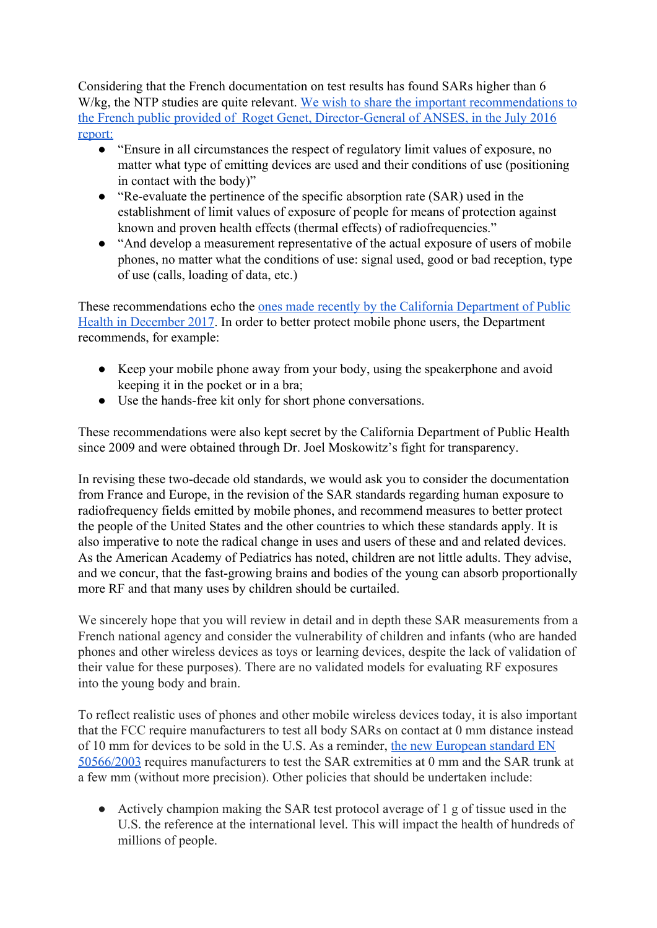Considering that the French documentation on test results has found SARs higher than 6 W/kg, the NTP studies are quite relevant. [We wish to share the important recommendations to](https://www.anses.fr/fr/system/files/AP2012SA0091Ra.pdf) [the French public provided of Roget Genet, Director-General of ANSES, in the July 2016](https://www.anses.fr/fr/system/files/AP2012SA0091Ra.pdf) [report:](https://www.anses.fr/fr/system/files/AP2012SA0091Ra.pdf)

- "Ensure in all circumstances the respect of regulatory limit values of exposure, no matter what type of emitting devices are used and their conditions of use (positioning in contact with the body)"
- "Re-evaluate the pertinence of the specific absorption rate (SAR) used in the establishment of limit values of exposure of people for means of protection against known and proven health effects (thermal effects) of radiofrequencies."
- "And develop a measurement representative of the actual exposure of users of mobile phones, no matter what the conditions of use: signal used, good or bad reception, type of use (calls, loading of data, etc.)

These recommendations echo the [ones made recently by the California Department of Public](https://www.cdph.ca.gov/Programs/CCDPHP/DEODC/EHIB/CDPH%20Document%20Library/Cell-Phone-Guidance.pdf) [Health in December 2017](https://www.cdph.ca.gov/Programs/CCDPHP/DEODC/EHIB/CDPH%20Document%20Library/Cell-Phone-Guidance.pdf). In order to better protect mobile phone users, the Department recommends, for example:

- Keep your mobile phone away from your body, using the speakerphone and avoid keeping it in the pocket or in a bra;
- Use the hands-free kit only for short phone conversations.

These recommendations were also kept secret by the California Department of Public Health since 2009 and were obtained through Dr. Joel Moskowitz's fight for transparency.

In revising these two-decade old standards, we would ask you to consider the documentation from France and Europe, in the revision of the SAR standards regarding human exposure to radiofrequency fields emitted by mobile phones, and recommend measures to better protect the people of the United States and the other countries to which these standards apply. It is also imperative to note the radical change in uses and users of these and and related devices. As the American Academy of Pediatrics has noted, children are not little adults. They advise, and we concur, that the fast-growing brains and bodies of the young can absorb proportionally more RF and that many uses by children should be curtailed.

We sincerely hope that you will review in detail and in depth these SAR measurements from a French national agency and consider the vulnerability of children and infants (who are handed phones and other wireless devices as toys or learning devices, despite the lack of validation of their value for these purposes). There are no validated models for evaluating RF exposures into the young body and brain.

To reflect realistic uses of phones and other mobile wireless devices today, it is also important that the FCC require manufacturers to test all body SARs on contact at 0 mm distance instead of 10 mm for devices to be sold in the U.S. As a reminder, [the new European standard EN](http://eur-lex.europa.eu/legal-content/EN/TXT/?uri=CELEX:32016D0537) [50566/2003](http://eur-lex.europa.eu/legal-content/EN/TXT/?uri=CELEX:32016D0537) requires manufacturers to test the SAR extremities at 0 mm and the SAR trunk at a few mm (without more precision). Other policies that should be undertaken include:

● Actively champion making the SAR test protocol average of 1 g of tissue used in the U.S. the reference at the international level. This will impact the health of hundreds of millions of people.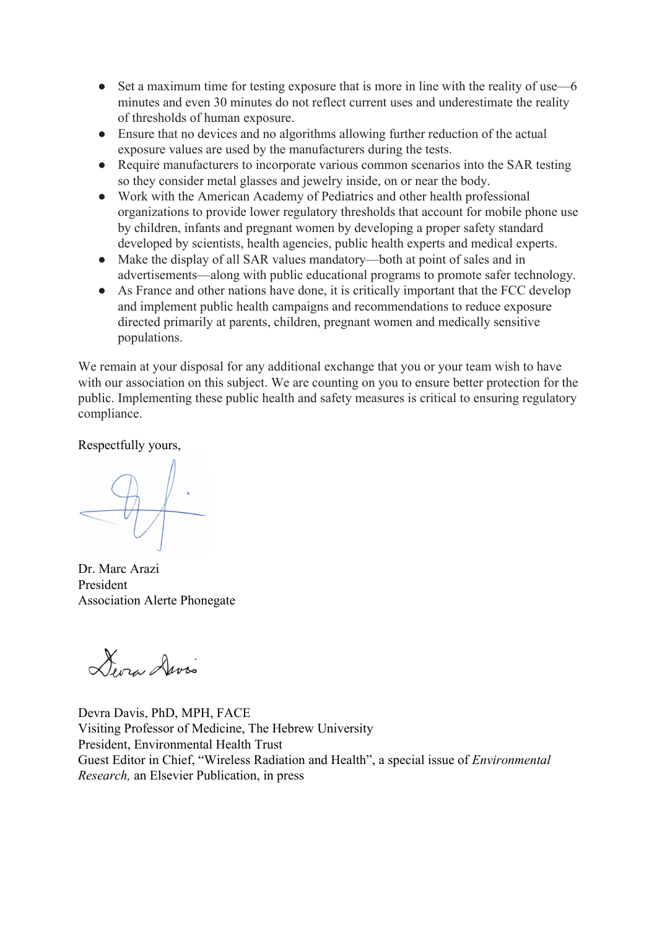- Set a maximum time for testing exposure that is more in line with the reality of use—6 minutes and even 30 minutes do not reflect current uses and underestimate the reality of thresholds of human exposure.
- Ensure that no devices and no algorithms allowing further reduction of the actual exposure values are used by the manufacturers during the tests.
- Require manufacturers to incorporate various common scenarios into the SAR testing so they consider metal glasses and jewelry inside, on or near the body.
- Work with the American Academy of Pediatrics and other health professional organizations to provide lower regulatory thresholds that account for mobile phone use by children, infants and pregnant women by developing a proper safety standard developed by scientists, health agencies, public health experts and medical experts.
- Make the display of all SAR values mandatory—both at point of sales and in advertisements—along with public educational programs to promote safer technology.
- As France and other nations have done, it is critically important that the FCC develop and implement public health campaigns and recommendations to reduce exposure directed primarily at parents, children, pregnant women and medically sensitive populations.

We remain at your disposal for any additional exchange that you or your team wish to have with our association on this subject. We are counting on you to ensure better protection for the public. Implementing these public health and safety measures is critical to ensuring regulatory compliance.

Respectfully yours,

Dr. Marc Arazi President Association Alerte Phonegate

Deva Davis

Devra Davis, PhD, MPH, FACE Visiting Professor of Medicine, The Hebrew University President, Environmental Health Trust Guest Editor in Chief, "Wireless Radiation and Health", a special issue of *Environmental Research,* an Elsevier Publication, in press